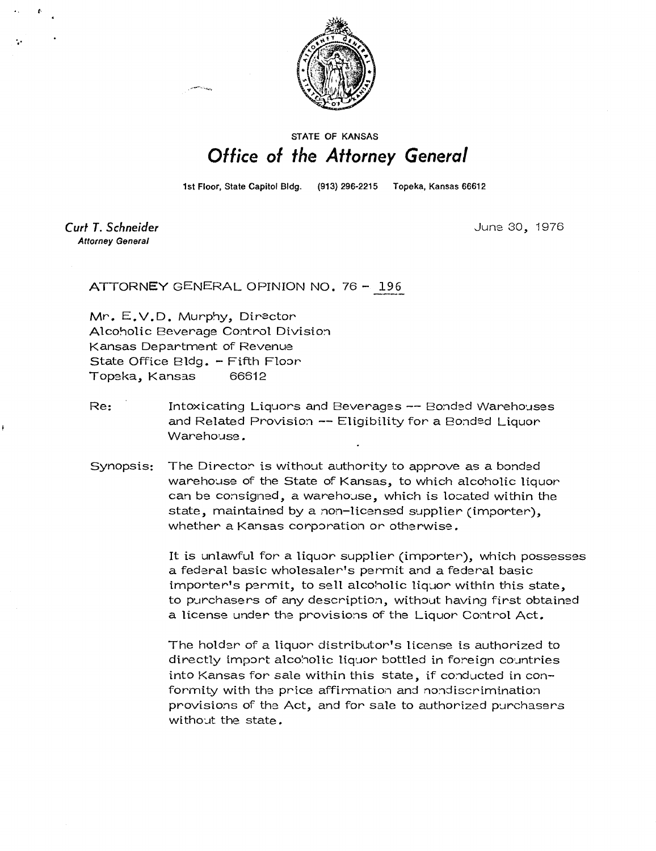

## **STATE OF KANSAS** Office of the Attorney General

1st Floor, State Capitol Bldg.

(913) 296-2215 Topeka, Kansas 66612

Curt T. Schneider **Attorney General** 

June 30, 1976

ATTORNEY GENERAL OPINION NO. 76 - 196

Mr. E.V.D. Murphy, Director Alcoholic Beverage Control Division Kansas Department of Revenue State Office Bldg. - Fifth Floor Topeka, Kansas 66612

- Re: Intoxicating Liquors and Beverages -- Bonded Warehouses and Related Provision -- Eligibility for a Bonded Liquor Warehouse.
- Synopsis: The Director is without authority to approve as a bonded warehouse of the State of Kansas, to which alcoholic liquor can be consigned, a warehouse, which is located within the state, maintained by a non-licensed supplier (importer), whether a Kansas corporation or otherwise.

It is unlawful for a liquor supplier (importer), which possesses a federal basic wholesaler's permit and a federal basic importer's permit, to sell alcoholic liquor within this state, to purchasers of any description, without having first obtained a license under the provisions of the Liquor Control Act.

The holder of a liquor distributor's license is authorized to directly import alcoholic liquor bottled in foreign countries into Kansas for sale within this state, if conducted in conformity with the price affirmation and nondiscrimination provisions of the Act, and for sale to authorized purchasers without the state.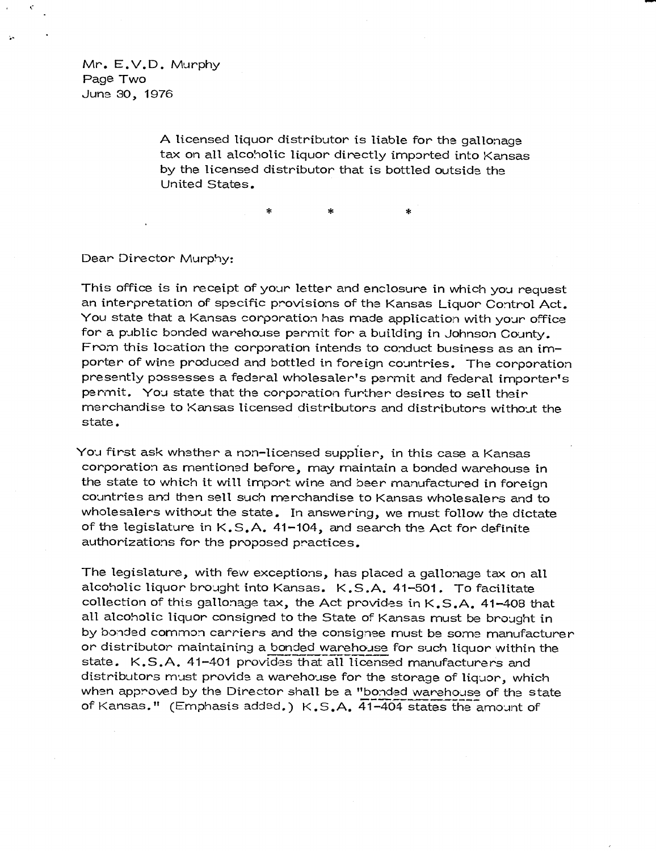Mr. E.V.D. Murphy Page Two June 30, 1976

> A licensed liquor distributor is liable for the gallonage tax on all alcoholic liquor directly imported into Kansas by the licensed distributor that is bottled outside the United States.

Dear Director Murphy:

This office is in receipt of your letter and enclosure in which you request an interpretation of specific provisions of the Kansas Liquor Control Act. You state that a Kansas corporation has made application with your office for a public bonded warehouse permit for a building in Johnson County. From this location the corporation intends to conduct business as an importer of wine produced and bottled in foreign countries. The corporation presently possesses a federal wholesaler's permit and federal importer's permit. You state that the corporation further desires to sell their merchandise to Kansas licensed distributors and distributors without the state.

You first ask whether a non-licensed supplier, in this case a Kansas corporation as mentioned before, may maintain a bonded warehouse in the state to which it will import wine and beer manufactured in foreign countries and then sell such merchandise to Kansas wholesalers and to wholesalers without the state. In answering, we must follow the dictate of the legislature in K.S.A. 41-104, and search the Act for definite authorizations for the proposed practices.

The legislature, with few exceptions, has placed a gallonage tax on all alcoholic liquor brought into Kansas. K.S.A. 41-501. To facilitate collection of this gallonage tax, the Act provides in K.S.A. 41-408 that all alcoholic liquor consigned to the State of Kansas must be brought in by bonded common carriers and the consignee must be some manufacturer or distributor maintaining a bonded warehouse for such liquor within the state. K.S.A. 41-401 provides that all licensed manufacturers and distributors must provide a warehouse for the storage of liquor, which when approved by the Director shall be a "bonded warehouse of the state of Kansas." (Emphasis added.) K.S.A. 41-404 states the amount of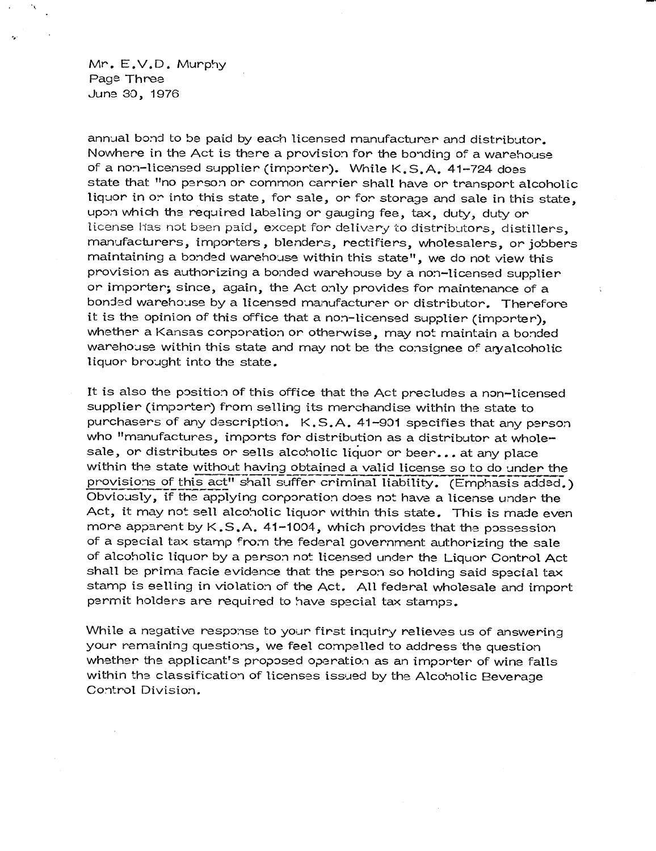Mr. E.V.D. Murphy Page Three June 30, 1976

annual bond to be paid by each licensed manufacturer and distributor. Nowhere in the Act is there a provision for the bonding of a warehouse of a non-licensed supplier (importer). While K.S.A. 41-724 does state that "no person or common carrier shall have or transport alcoholic liquor in or into this state, for sale, or for storage and sale in this state, upon which the required labeling or gauging fee, tax, duty, duty or license has not been paid, except for delivery to distributors, distillers, manufacturers, importers, blenders, rectifiers, wholesalers, or jobbers maintaining a bonded warehouse within this state", we do not view this provision as authorizing a bonded warehouse by a non-licensed supplier or importer; since, again, the Act only provides for maintenance of a bonded warehouse by a licensed manufacturer or distributor. Therefore it is the opinion of this office that a non-licensed supplier (importer), whether a Kansas corporation or otherwise, may not maintain a bonded warehouse within this state and may not be the consignee of aryalcoholic liquor brought into the state.

It is also the position of this office that the Act precludes a non-licensed supplier (importer) from selling its merchandise within the state to purchasers of any description. K.S.A. 41-901 specifies that any person who "manufactures, imports for distribution as a distributor at wholesale, or distributes or sells alcoholic liquor or beer... at any place within the state without having obtained a valid license so to do under the provisions of this act" shall suffer criminal liability. (Emphasis added.) Obviously, if the applying corporation does not have a license under the Act, it may not sell alcoholic liquor within this state. This is made even more apparent by K .S.A. 41-1004, which provides that the possession of a special tax stamp from the federal government authorizing the sale of alcoholic liquor by a person not licensed under the Liquor Control Act shall be prima facie evidence that the person so holding said special tax stamp is selling in violation of the Act. All federal wholesale and import permit holders are required to have special tax stamps.

While a negative response to your first inquiry relieves us of answering your remaining questions, we feel compelled to address the question whether the applicant's proposed operation as an importer of wine falls within the classification of licenses issued by the Alcoholic Beverage Control Division.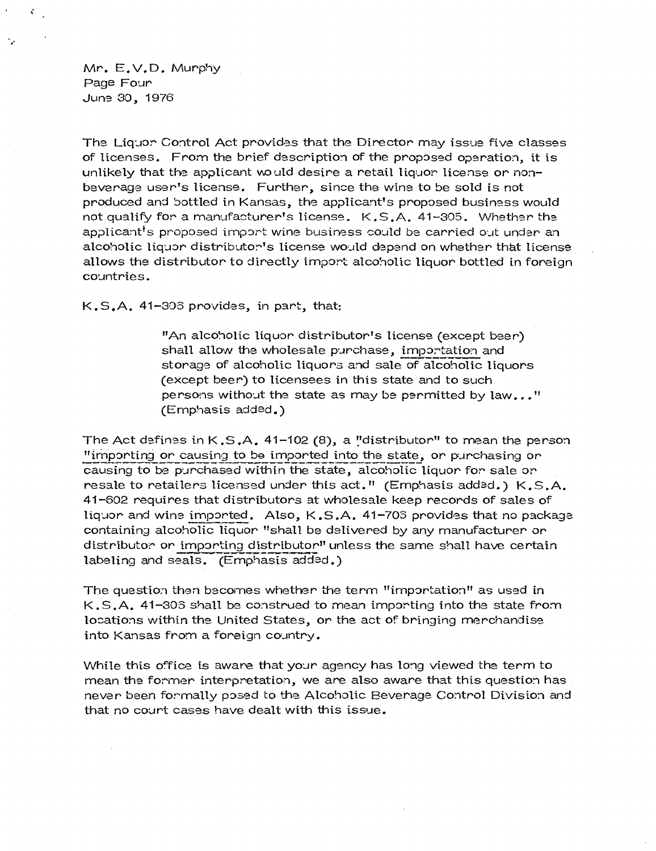Mr. E.V.D. Murphy Page Four June 30, 1976

 $\mathbf{C}_{\mathbf{r},\mathbf{r}}$ 

The Liquor Control Act provides that the Director may issue five classes of licenses. From the brief description of the proposed operation, it is unlikely that the applicant would desire a retail liquor license or nonbeverage user's license. Further, since the wine to be sold is not produced and bottled in Kansas, the applicant's proposed business would not qualify for a manufacturer's license. K.S.A. 41-305. Whether the applicant's proposed import wine business could be carried out under an alcoholic liquor distributor's license would depend on whether that license allows the distributor to directly import alcoholic liquor bottled in foreign countries.

K.S.A. 41-303 provides, in part, that:

"An alcoholic liquor distributor's license (except beer) shall allow the wholesale purchase, importation and storage of alcoholic liquors and sale of alcoholic liquors (except beer) to licensees in this state and to such persons without the state as may be permitted by law..." (Emphasis added.)

The Act defines in  $K.S.A.$  41-102 (8), a "distributor" to mean the person "importing or causing to be imported into the state, or purchasing or causing to be purchased within the state, alcoholic liquor for sale or resale to retailers licensed under this act." (Emphasis added.) K.S.A. 41-602 requires that distributors at wholesale keep records of sales of liquor and wine imported. Also, K .S.A. 41-703 provides that no package containing alcoholic liquor "shall be delivered by any manufacturer or distributor or importing distributor" unless the same shall have certain labeling and seals. (Emphasis added.)

The question then becomes whether the term "importation" as used in K.S.A. 41-303 shall be construed to mean importing into the state from locations within the United States, or the act of bringing merchandise into Kansas from a foreign country.

While this office is aware that your agency has long viewed the term to mean the former interpretation, we are also aware that this question has never been formally posed to the Alcoholic Beverage Control Division and that no court cases have dealt with this issue.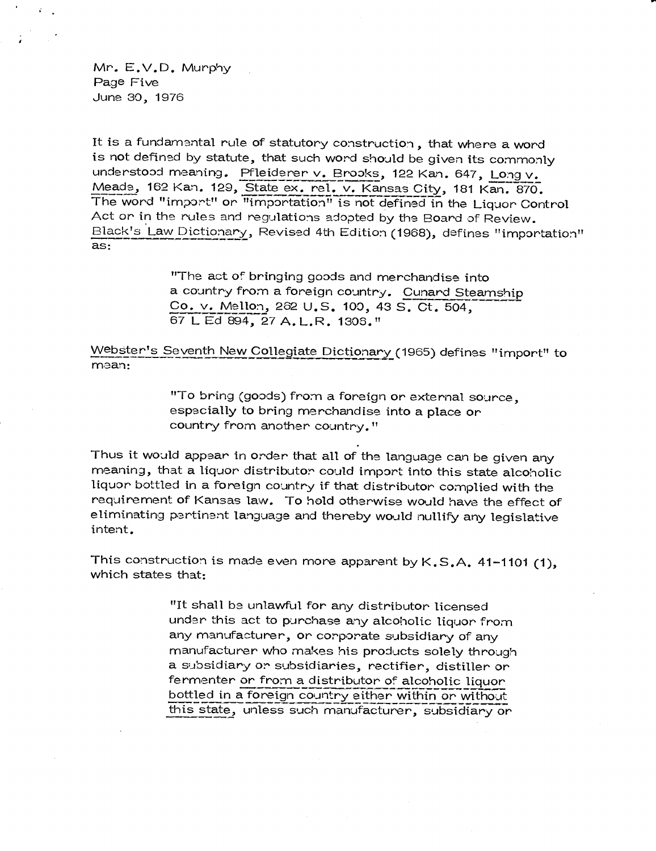Mr. E.V.D. Murphy Page Five June 30, 1976

It is a fundamental rule of statutory construction , that where a word is not defined by statute, that such word should be given its commonly understood meaning. Pfleiderer v. Brooks, 122 Kan. 647, Long v. Meade, 162 Kan. 129, State ex. rel. v. Kansas City, 181 Kan. 870. The word "import" or "importation" is not defined in the Liquor Control Act or in the rules and regulations adopted by the Board of Review. Black's Law Dictionary, Revised 4th Edition (1968), defines "importation" as:

> "The act of bringing goods and merchandise into a country from a foreign country. Cunard Steamship Co. v. Mellon, 262 U.S. 100, 43 S. Ct,, 504, 67 L Ed 894, 27 A. L.R. 1305."

Webster's Seventh New Collegiate Dictionary (1965) defines "import" to mean:

> "To bring (goods) from a foreign or external source, especially to bring merchandise into a place or country from another country."

Thus it would appear in order that all of the language can be given any meaning, that a liquor distributor could import into this state alcoholic liquor bottled in a foreign country if that distributor complied with the requirement of Kansas law. To hold otherwise would have the effect of eliminating pertinent language and thereby would nullify any legislative intent.

This construction is made even more apparent by K.S.A. 41-1101 (1), which states that:

> "It shall be unlawful for any distributor licensed under this act to purchase any alcoholic liquor from any manufacturer, or corporate subsidiary of any manufacturer who makes his products solely through a subsidiary or subsidiaries, rectifier, distiller or fermenter or from a distributor of alcoholic liquor bottled in a foreign country either within or without this state, unless such manufacturer, subsidiary or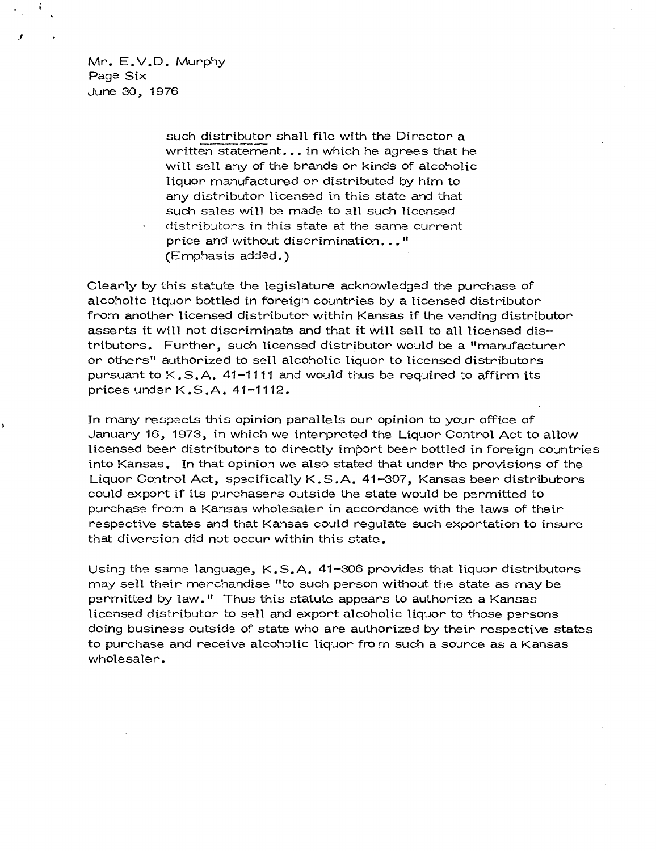Mr. E.V.D. Murphy Page Six June 30, 1976

> such distributor shall file with the Director a written statement... in which he agrees that he will sell any of the brands or kinds of alcoholic liquor manufactured or distributed by him to any distributor licensed in this state and that such sales will be made to all such licensed distributors in this state at the same current price and without discrimination..." (Emphasis added.)

Clearly by this statute the legislature acknowledged the purchase of alcoholic liquor bottled in foreign countries by a licensed distributor from another licensed distributor within Kansas if the vending distributor asserts it will not discriminate and that it will sell to all licensed distributors. Further, such licensed distributor would be a "manufacturer or others" authorized to sell alcoholic liquor to licensed distributors pursuant to  $K, S, A$ , 41-1111 and would thus be required to affirm its prices under K.S.A. 41-1112.

In many respects this opinion parallels our opinion to your office of January 16, 1973, in which we interpreted the Liquor Control Act to allow licensed beer distributors to directly import beer bottled in foreign countries into Kansas. In that opinion we also stated that under the provisions of the Liquor Control Act, specifically K.S.A. 41-307, Kansas beer distributors could export if its purchasers outside the state would be permitted to purchase from a Kansas wholesaler in accordance with the laws of their respective states and that Kansas could regulate such exportation to insure that diversion did not occur within this state.

Using the same language, K.S.A. 41-306 provides that liquor distributors may sell their merchandise "to such person without the state as may be permitted by law." Thus this statute appears to authorize a Kansas licensed distributor to sell and export alcoholic liquor to those persons doing business outside of state who are authorized by their respective states to purchase and receive alcoholic liquor from such a source as a Kansas wholesaler.